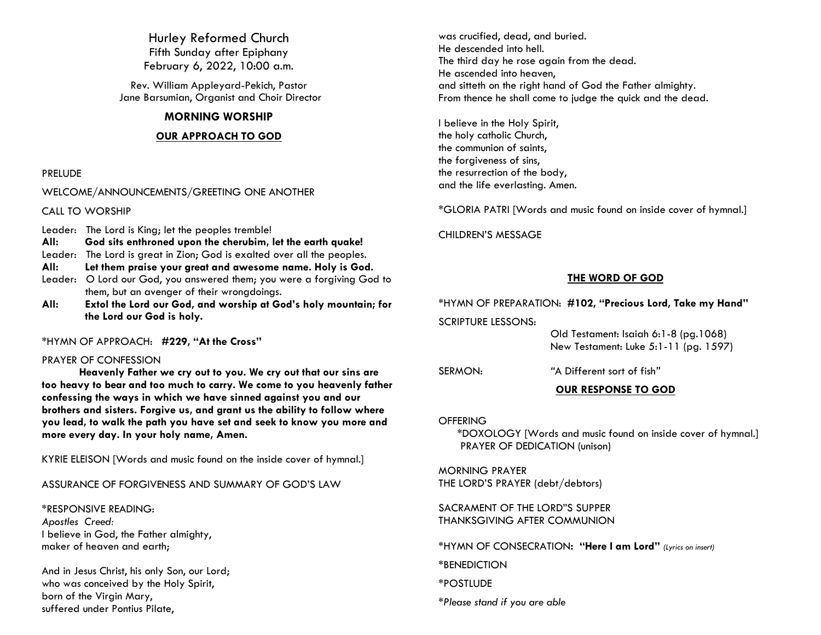Hurley Reformed Church Fifth Sunday after Epiphany February 6, 2022, 10:00 a.m.

Rev. William Appleyard-Pekich, Pastor Jane Barsumian, Organist and Choir Director

#### **MORNING WORSHIP**

#### **OUR APPROACH TO GOD**

#### PRELUDE

#### WELCOME/ANNOUNCEMENTS/GREETING ONE ANOTHER

CALL TO WORSHIP

Leader: The Lord is King; let the peoples tremble!

- **All: God sits enthroned upon the cherubim, let the earth quake!**
- Leader: The Lord is great in Zion; God is exalted over all the peoples.
- **All: Let them praise your great and awesome name. Holy is God.**
- Leader: O Lord our God, you answered them; you were a forgiving God to them, but an avenger of their wrongdoings.
- **All: Extol the Lord our God, and worship at God's holy mountain; for the Lord our God is holy.**

\*HYMN OF APPROACH: **#229, "At the Cross"**

#### PRAYER OF CONFESSION

**Heavenly Father we cry out to you. We cry out that our sins are too heavy to bear and too much to carry. We come to you heavenly father confessing the ways in which we have sinned against you and our brothers and sisters. Forgive us, and grant us the ability to follow where you lead, to walk the path you have set and seek to know you more and more every day. In your holy name, Amen.** 

KYRIE ELEISON [Words and music found on the inside cover of hymnal.]

# ASSURANCE OF FORGIVENESS AND SUMMARY OF GOD'S LAW

\*RESPONSIVE READING: *Apostles Creed:* I believe in God, the Father almighty, maker of heaven and earth;

And in Jesus Christ, his only Son, our Lord; who was conceived by the Holy Spirit, born of the Virgin Mary, suffered under Pontius Pilate,

was crucified, dead, and buried. He descended into hell. The third day he rose again from the dead. He ascended into heaven, and sitteth on the right hand of God the Father almighty. From thence he shall come to judge the quick and the dead.

I believe in the Holy Spirit, the holy catholic Church, the communion of saints, the forgiveness of sins, the resurrection of the body, and the life everlasting. Amen.

\*GLORIA PATRI [Words and music found on inside cover of hymnal.]

CHILDREN'S MESSAGE

### **THE WORD OF GOD**

#### \*HYMN OF PREPARATION: **#102, "Precious Lord, Take my Hand"**

SCRIPTURE LESSONS:

 Old Testament: Isaiah 6:1-8 (pg.1068) New Testament: Luke 5:1-11 (pg. 1597)

SERMON: *"*A Different sort of fish*"*

**OUR RESPONSE TO GOD**

### **OFFERING**

\*DOXOLOGY [Words and music found on inside cover of hymnal.] PRAYER OF DEDICATION (unison)

MORNING PRAYER THE LORD'S PRAYER (debt/debtors)

SACRAMENT OF THE LORD"S SUPPER THANKSGIVING AFTER COMMUNION

\*HYMN OF CONSECRATION**: "Here I am Lord"** *(Lyrics on insert)*

\*BENEDICTION

\*POSTLUDE

*\*Please stand if you are able*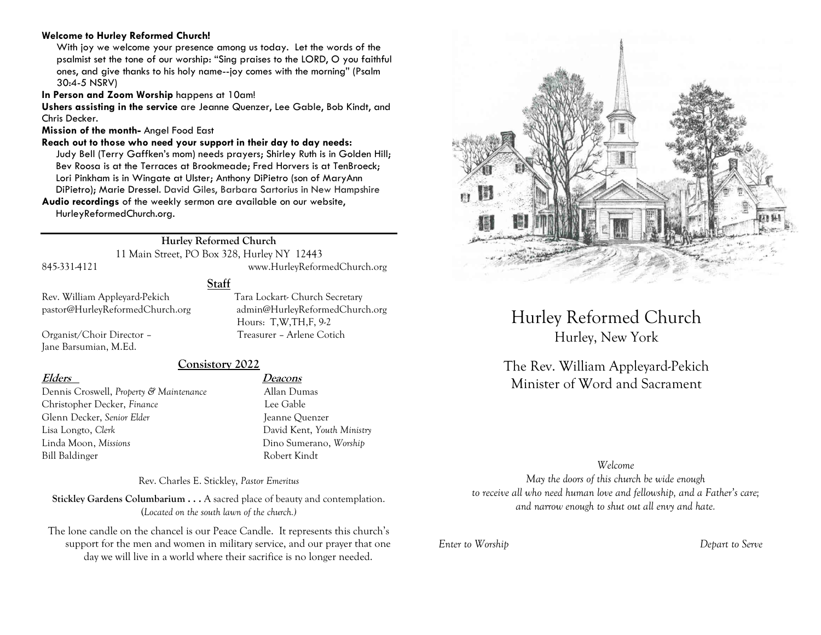#### **Welcome to Hurley Reformed Church!**

With joy we welcome your presence among us today. Let the words of the psalmist set the tone of our worship: "Sing praises to the LORD, O you faithful ones, and give thanks to his holy name--joy comes with the morning" (Psalm 30:4-5 NSRV)

**In Person and Zoom Worship** happens at 10am!

**Ushers assisting in the service** are Jeanne Quenzer, Lee Gable, Bob Kindt, and Chris Decker.

**Mission of the month-** Angel Food East

**Reach out to those who need your support in their day to day needs:** 

Judy Bell (Terry Gaffken's mom) needs prayers; Shirley Ruth is in Golden Hill; Bev Roosa is at the Terraces at Brookmeade; Fred Horvers is at TenBroeck; Lori Pinkham is in Wingate at Ulster; Anthony DiPietro (son of MaryAnn DiPietro); Marie Dressel. David Giles, Barbara Sartorius in New Hampshire **Audio recordings** of the weekly sermon are available on our website,

HurleyReformedChurch.org.

# **Hurley Reformed Church**

11 Main Street, PO Box 328, Hurley NY 12443 845-331-4121 www.HurleyReformedChurch.org

#### **Staff**

Jane Barsumian, M.Ed.

Rev. William Appleyard-Pekich Tara Lockart- Church Secretary pastor@HurleyReformedChurch.org admin@HurleyReformedChurch.org Hours: T,W,TH,F, 9-2 Organist/Choir Director – Treasurer – Arlene Cotich

#### **Consistory 2022**

Dennis Croswell, *Property & Maintenance* Allan Dumas Christopher Decker, *Finance* Lee Gable Glenn Decker, *Senior Elder* Jeanne Ouenzer Lisa Longto, *Clerk* David Kent, *Youth Ministry* Linda Moon, *Missions* Dino Sumerano, *Worship* Bill Baldinger Robert Kindt

**Elders Deacons**

Rev. Charles E. Stickley, *Pastor Emeritus*

**Stickley Gardens Columbarium . . .** A sacred place of beauty and contemplation. (*Located on the south lawn of the church.)* 

The lone candle on the chancel is our Peace Candle. It represents this church's support for the men and women in military service, and our prayer that one day we will live in a world where their sacrifice is no longer needed.



# Hurley Reformed Church Hurley, New York

The Rev. William Appleyard-Pekich Minister of Word and Sacrament

#### *Welcome*

*May the doors of this church be wide enough to receive all who need human love and fellowship, and a Father's care; and narrow enough to shut out all envy and hate.*

*Enter to Worship Depart to Serve*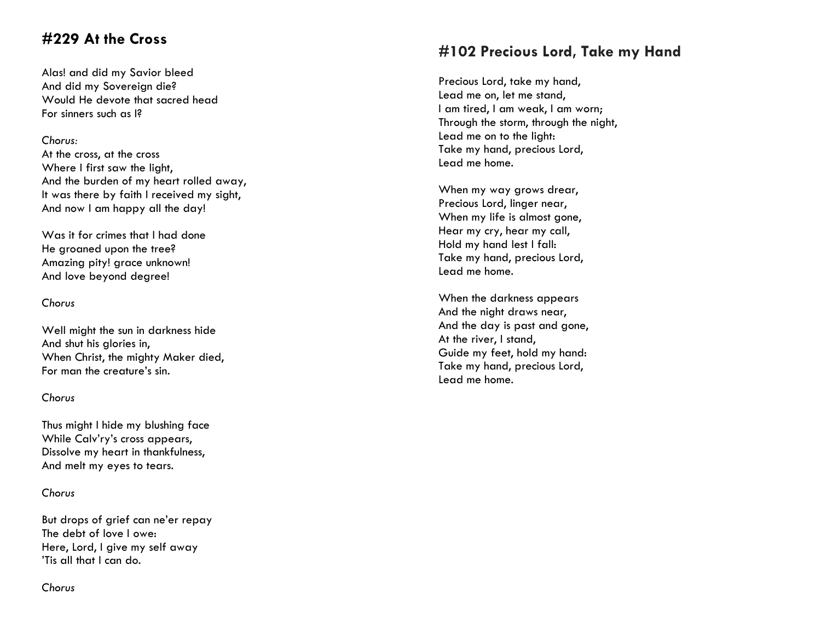# **#229 At the Cross**

Alas! and did my Savior bleed And did my Sovereign die? Would He devote that sacred head For sinners such as I?

### *Chorus:*

At the cross, at the cross Where I first saw the light, And the burden of my heart rolled away, It was there by faith I received my sight, And now I am happy all the day!

Was it for crimes that I had done He groaned upon the tree? Amazing pity! grace unknown! And love beyond degree!

### *Chorus*

Well might the sun in darkness hide And shut his glories in, When Christ, the mighty Maker died, For man the creature's sin.

### *Chorus*

Thus might I hide my blushing face While Calv'ry's cross appears, Dissolve my heart in thankfulness, And melt my eyes to tears.

# *Chorus*

But drops of grief can ne'er repay The debt of love I owe: Here, Lord, I give my self away 'Tis all that I can do.

# **#102 Precious Lord, Take my Hand**

Precious Lord, take my hand, Lead me on, let me stand, I am tired, I am weak, I am worn; Through the storm, through the night, Lead me on to the light: Take my hand, precious Lord, Lead me home.

When my way grows drear, Precious Lord, linger near, When my life is almost gone, Hear my cry, hear my call, Hold my hand lest I fall: Take my hand, precious Lord, Lead me home.

When the darkness appears And the night draws near, And the day is past and gone, At the river, I stand, Guide my feet, hold my hand: Take my hand, precious Lord, Lead me home.

# *Chorus*